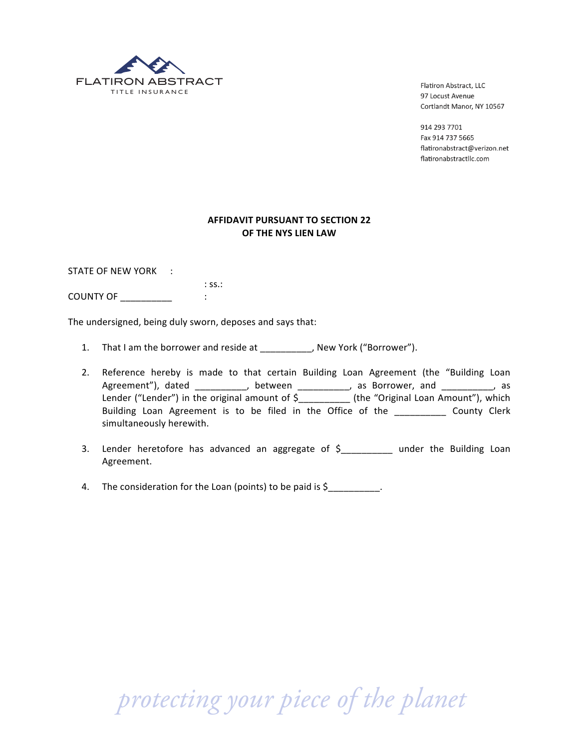

Flatiron Abstract, LLC 97 Locust Avenue Cortlandt Manor, NY 10567

914 293 7701 Fax 914 737 5665 flatironabstract@verizon.net flatironabstractllc.com

## **AFFIDAVIT PURSUANT TO SECTION 22 OF THE NYS LIEN LAW**

STATE OF NEW YORK :

 $:$  SS $:$ : COUNTY!OF!\_\_\_\_\_\_\_\_\_\_ :

The undersigned, being duly sworn, deposes and says that:

- 1. That I am the borrower and reside at \_\_\_\_\_\_\_\_\_, New York ("Borrower").
- 2. Reference hereby is made to that certain Building Loan Agreement (the "Building Loan Agreement"), dated \_\_\_\_\_\_\_\_\_\_\_, between \_\_\_\_\_\_\_\_\_\_, as Borrower, and \_\_\_\_\_\_\_\_\_\_, as Lender ("Lender") in the original amount of \$\_\_\_\_\_\_\_\_\_\_\_ (the "Original Loan Amount"), which Building Loan Agreement is to be filed in the Office of the \_\_\_\_\_\_\_\_\_\_ County Clerk simultaneously herewith.
- 3. Lender heretofore has advanced an aggregate of  $$_\_$  under the Building Loan Agreement.
- 4. The consideration for the Loan (points) to be paid is  $$$

 *protecting your piece of the planet*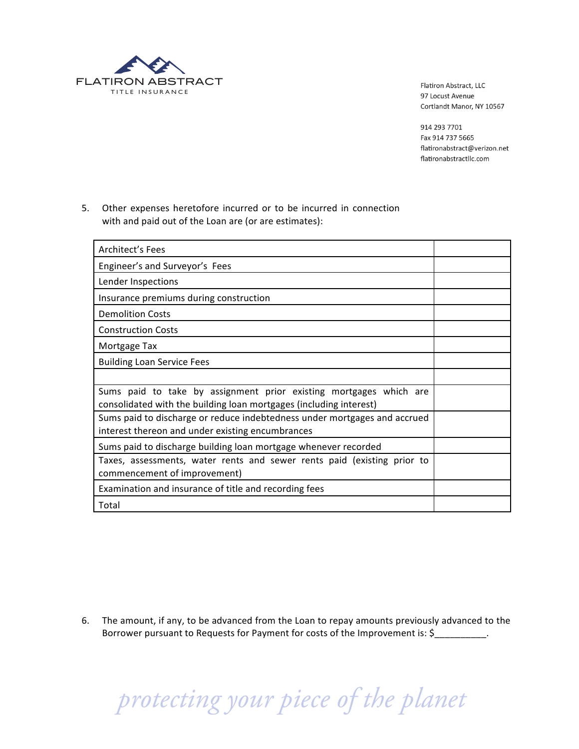

Flatiron Abstract, LLC 97 Locust Avenue Cortlandt Manor, NY 10567

914 293 7701 Fax 914 737 5665 flatironabstract@verizon.net flatironabstractllc.com

5. Other expenses heretofore incurred or to be incurred in connection with and paid out of the Loan are (or are estimates):

| Architect's Fees                                                                                                                         |  |
|------------------------------------------------------------------------------------------------------------------------------------------|--|
| Engineer's and Surveyor's Fees                                                                                                           |  |
| Lender Inspections                                                                                                                       |  |
| Insurance premiums during construction                                                                                                   |  |
| <b>Demolition Costs</b>                                                                                                                  |  |
| <b>Construction Costs</b>                                                                                                                |  |
| Mortgage Tax                                                                                                                             |  |
| <b>Building Loan Service Fees</b>                                                                                                        |  |
|                                                                                                                                          |  |
| Sums paid to take by assignment prior existing mortgages which are<br>consolidated with the building loan mortgages (including interest) |  |
| Sums paid to discharge or reduce indebtedness under mortgages and accrued<br>interest thereon and under existing encumbrances            |  |
| Sums paid to discharge building loan mortgage whenever recorded                                                                          |  |
| Taxes, assessments, water rents and sewer rents paid (existing prior to<br>commencement of improvement)                                  |  |
| Examination and insurance of title and recording fees                                                                                    |  |
| Total                                                                                                                                    |  |

6. The amount, if any, to be advanced from the Loan to repay amounts previously advanced to the Borrower pursuant to Requests for Payment for costs of the Improvement is: \$\_\_\_\_\_\_\_\_\_\_.

 *protecting your piece of the planet*